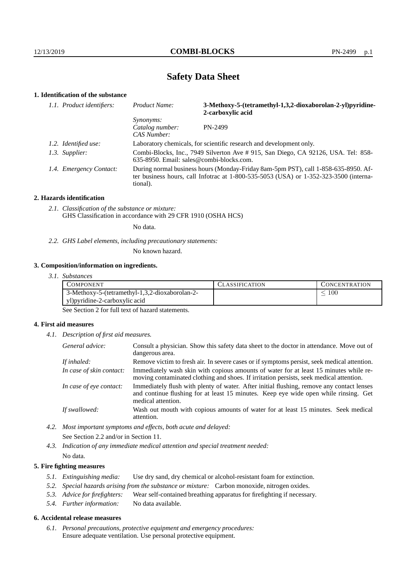# **Safety Data Sheet**

# **1. Identification of the substance**

| 1.1. Product identifiers: | Product Name:                                      | 3-Methoxy-5-(tetramethyl-1,3,2-dioxaborolan-2-yl)pyridine-<br>2-carboxylic acid                                                                                             |
|---------------------------|----------------------------------------------------|-----------------------------------------------------------------------------------------------------------------------------------------------------------------------------|
|                           | <i>Synonyms:</i><br>Catalog number:<br>CAS Number: | PN-2499                                                                                                                                                                     |
| 1.2. Identified use:      |                                                    | Laboratory chemicals, for scientific research and development only.                                                                                                         |
| 1.3. Supplier:            | 635-8950. Email: sales@combi-blocks.com.           | Combi-Blocks, Inc., 7949 Silverton Ave # 915, San Diego, CA 92126, USA. Tel: 858-                                                                                           |
| 1.4. Emergency Contact:   | tional).                                           | During normal business hours (Monday-Friday 8am-5pm PST), call 1-858-635-8950. Af-<br>ter business hours, call Infotrac at 1-800-535-5053 (USA) or 1-352-323-3500 (interna- |

#### **2. Hazards identification**

*2.1. Classification of the substance or mixture:* GHS Classification in accordance with 29 CFR 1910 (OSHA HCS)

No data.

## *2.2. GHS Label elements, including precautionary statements:*

No known hazard.

#### **3. Composition/information on ingredients.**

*3.1. Substances*

| COMPONENT                                      | `LASSIFICATION | CONCENTRATION. |
|------------------------------------------------|----------------|----------------|
| 3-Methoxy-5-(tetramethyl-1,3,2-dioxaborolan-2- |                | 100            |
| yl) pyridine-2-carboxylic acid                 |                |                |

See Section 2 for full text of hazard statements.

### **4. First aid measures**

*4.1. Description of first aid measures.*

| General advice:          | Consult a physician. Show this safety data sheet to the doctor in attendance. Move out of<br>dangerous area.                                                                                            |
|--------------------------|---------------------------------------------------------------------------------------------------------------------------------------------------------------------------------------------------------|
| If inhaled:              | Remove victim to fresh air. In severe cases or if symptoms persist, seek medical attention.                                                                                                             |
| In case of skin contact: | Immediately wash skin with copious amounts of water for at least 15 minutes while re-<br>moving contaminated clothing and shoes. If irritation persists, seek medical attention.                        |
| In case of eye contact:  | Immediately flush with plenty of water. After initial flushing, remove any contact lenses<br>and continue flushing for at least 15 minutes. Keep eye wide open while rinsing. Get<br>medical attention. |
| If swallowed:            | Wash out mouth with copious amounts of water for at least 15 minutes. Seek medical<br>attention.                                                                                                        |

*4.2. Most important symptoms and effects, both acute and delayed:* See Section 2.2 and/or in Section 11.

*4.3. Indication of any immediate medical attention and special treatment needed:* No data.

## **5. Fire fighting measures**

- *5.1. Extinguishing media:* Use dry sand, dry chemical or alcohol-resistant foam for extinction.
- *5.2. Special hazards arising from the substance or mixture:* Carbon monoxide, nitrogen oxides.
- *5.3. Advice for firefighters:* Wear self-contained breathing apparatus for firefighting if necessary.
- *5.4. Further information:* No data available.

## **6. Accidental release measures**

*6.1. Personal precautions, protective equipment and emergency procedures:* Ensure adequate ventilation. Use personal protective equipment.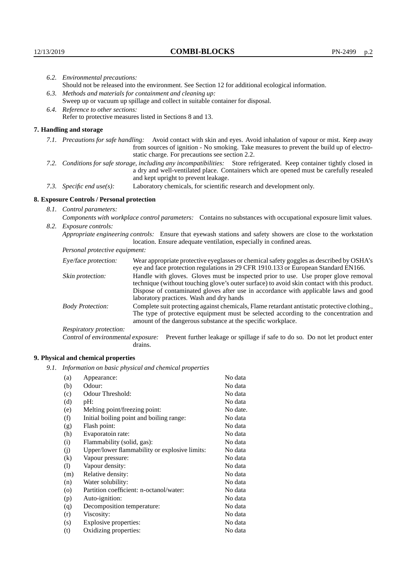|                                                             | 6.2. Environmental precautions:                                                                                                                                                                                                                                    |                                                                                                                                                                                    |  |  |
|-------------------------------------------------------------|--------------------------------------------------------------------------------------------------------------------------------------------------------------------------------------------------------------------------------------------------------------------|------------------------------------------------------------------------------------------------------------------------------------------------------------------------------------|--|--|
|                                                             | Should not be released into the environment. See Section 12 for additional ecological information.                                                                                                                                                                 |                                                                                                                                                                                    |  |  |
| 6.3. Methods and materials for containment and cleaning up: |                                                                                                                                                                                                                                                                    |                                                                                                                                                                                    |  |  |
|                                                             | Sweep up or vacuum up spillage and collect in suitable container for disposal.                                                                                                                                                                                     |                                                                                                                                                                                    |  |  |
|                                                             | 6.4. Reference to other sections:                                                                                                                                                                                                                                  |                                                                                                                                                                                    |  |  |
|                                                             |                                                                                                                                                                                                                                                                    | Refer to protective measures listed in Sections 8 and 13.                                                                                                                          |  |  |
|                                                             | 7. Handling and storage                                                                                                                                                                                                                                            |                                                                                                                                                                                    |  |  |
|                                                             | 7.1. Precautions for safe handling: Avoid contact with skin and eyes. Avoid inhalation of vapour or mist. Keep away<br>from sources of ignition - No smoking. Take measures to prevent the build up of electro-<br>static charge. For precautions see section 2.2. |                                                                                                                                                                                    |  |  |
|                                                             | 7.2. Conditions for safe storage, including any incompatibilities: Store refrigerated. Keep container tightly closed in<br>a dry and well-ventilated place. Containers which are opened must be carefully resealed<br>and kept upright to prevent leakage.         |                                                                                                                                                                                    |  |  |
|                                                             | 7.3. Specific end use(s):                                                                                                                                                                                                                                          | Laboratory chemicals, for scientific research and development only.                                                                                                                |  |  |
|                                                             | 8. Exposure Controls / Personal protection                                                                                                                                                                                                                         |                                                                                                                                                                                    |  |  |
|                                                             | 8.1. Control parameters:                                                                                                                                                                                                                                           |                                                                                                                                                                                    |  |  |
|                                                             | Components with workplace control parameters: Contains no substances with occupational exposure limit values.                                                                                                                                                      |                                                                                                                                                                                    |  |  |
| 8.2. Exposure controls:                                     |                                                                                                                                                                                                                                                                    |                                                                                                                                                                                    |  |  |
|                                                             | Appropriate engineering controls: Ensure that eyewash stations and safety showers are close to the workstation<br>location. Ensure adequate ventilation, especially in confined areas.                                                                             |                                                                                                                                                                                    |  |  |
|                                                             | Personal protective equipment:                                                                                                                                                                                                                                     |                                                                                                                                                                                    |  |  |
|                                                             | Eye/face protection:                                                                                                                                                                                                                                               | Wear appropriate protective eyeglasses or chemical safety goggles as described by OSHA's<br>eye and face protection regulations in 29 CFR 1910.133 or European Standard EN166.     |  |  |
|                                                             | Skin protection:                                                                                                                                                                                                                                                   | Handle with gloves. Gloves must be inspected prior to use. Use proper glove removal<br>technique (without touching glove's outer surface) to avoid skin contact with this product. |  |  |

## **8. Exposure Controls / Personal protection**

| Eye/face protection:               |                                                                                                                                                                                                                                                                                                                        | Wear appropriate protective eyeglasses or chemical safety goggles as described by OSHA's<br>eye and face protection regulations in 29 CFR 1910.133 or European Standard EN166. |  |
|------------------------------------|------------------------------------------------------------------------------------------------------------------------------------------------------------------------------------------------------------------------------------------------------------------------------------------------------------------------|--------------------------------------------------------------------------------------------------------------------------------------------------------------------------------|--|
| Skin protection:                   | Handle with gloves. Gloves must be inspected prior to use. Use proper glove removal<br>technique (without touching glove's outer surface) to avoid skin contact with this product.<br>Dispose of contaminated gloves after use in accordance with applicable laws and good<br>laboratory practices. Wash and dry hands |                                                                                                                                                                                |  |
| <b>Body Protection:</b>            | Complete suit protecting against chemicals, Flame retardant antistatic protective clothing.,<br>The type of protective equipment must be selected according to the concentration and<br>amount of the dangerous substance at the specific workplace.                                                                   |                                                                                                                                                                                |  |
| Respiratory protection:            |                                                                                                                                                                                                                                                                                                                        |                                                                                                                                                                                |  |
| Control of environmental exposure: | drains.                                                                                                                                                                                                                                                                                                                | Prevent further leakage or spillage if safe to do so. Do not let product enter                                                                                                 |  |

# **9. Physical and chemical properties**

*9.1. Information on basic physical and chemical properties*

| (a)                        | Appearance:                                   | No data  |
|----------------------------|-----------------------------------------------|----------|
| (b)                        | Odour:                                        | No data  |
| (c)                        | Odour Threshold:                              | No data  |
| (d)                        | pH:                                           | No data  |
| (e)                        | Melting point/freezing point:                 | No date. |
| (f)                        | Initial boiling point and boiling range:      | No data  |
| (g)                        | Flash point:                                  | No data  |
| (h)                        | Evaporatoin rate:                             | No data  |
| (i)                        | Flammability (solid, gas):                    | No data  |
| (j)                        | Upper/lower flammability or explosive limits: | No data  |
| $\left( k\right)$          | Vapour pressure:                              | No data  |
| $\left( \mathrm{l}\right)$ | Vapour density:                               | No data  |
| (m)                        | Relative density:                             | No data  |
| (n)                        | Water solubility:                             | No data  |
| $\circ$                    | Partition coefficient: n-octanol/water:       | No data  |
| (p)                        | Auto-ignition:                                | No data  |
| (q)                        | Decomposition temperature:                    | No data  |
| (r)                        | Viscosity:                                    | No data  |
| (s)                        | Explosive properties:                         | No data  |
| (t)                        | Oxidizing properties:                         | No data  |